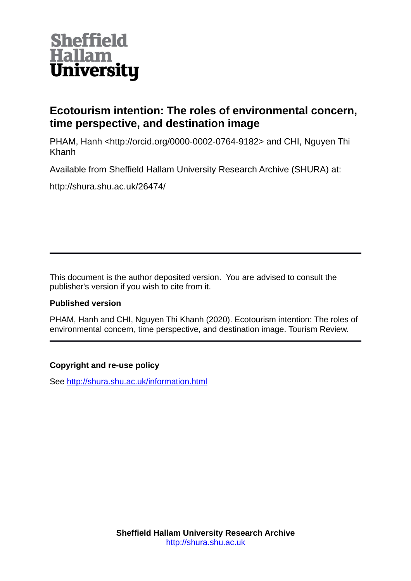

# **Ecotourism intention: The roles of environmental concern, time perspective, and destination image**

PHAM, Hanh <http://orcid.org/0000-0002-0764-9182> and CHI, Nguyen Thi Khanh

Available from Sheffield Hallam University Research Archive (SHURA) at:

http://shura.shu.ac.uk/26474/

This document is the author deposited version. You are advised to consult the publisher's version if you wish to cite from it.

# **Published version**

PHAM, Hanh and CHI, Nguyen Thi Khanh (2020). Ecotourism intention: The roles of environmental concern, time perspective, and destination image. Tourism Review.

# **Copyright and re-use policy**

See<http://shura.shu.ac.uk/information.html>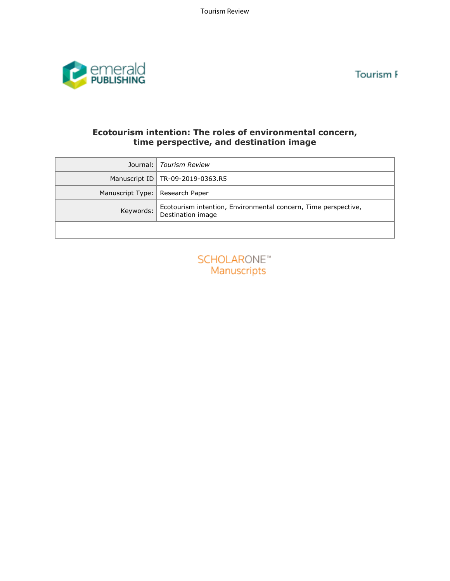**Tourism F** 





## **Ecotourism intention: The roles of environmental concern, time perspective, and destination image**

| Journal:                            | <b>Tourism Review</b>                                                               |  |  |  |
|-------------------------------------|-------------------------------------------------------------------------------------|--|--|--|
| Manuscript ID<br>TR-09-2019-0363.R5 |                                                                                     |  |  |  |
| Manuscript Type:                    | Research Paper                                                                      |  |  |  |
| Keywords:                           | Ecotourism intention, Environmental concern, Time perspective,<br>Destination image |  |  |  |
|                                     |                                                                                     |  |  |  |
|                                     | <b>SCHOLARONE™</b><br>Manuscripts                                                   |  |  |  |

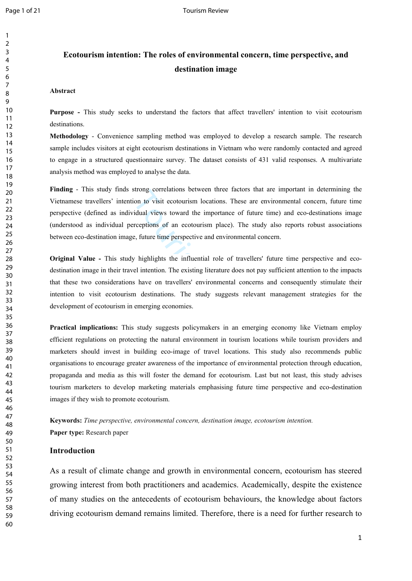$\mathbf{1}$  $\overline{2}$  $\overline{3}$ 

# **Ecotourism intention: The roles of environmental concern, time perspective, and destination image**

#### **Abstract**

**Purpose -** This study seeks to understand the factors that affect travellers' intention to visit ecotourism destinations.

**Methodology** - Convenience sampling method was employed to develop a research sample. The research sample includes visitors at eight ecotourism destinations in Vietnam who were randomly contacted and agreed to engage in a structured questionnaire survey. The dataset consists of 431 valid responses. A multivariate analysis method was employed to analyse the data.

**Finding** - This study finds strong correlations between three factors that are important in determining the Vietnamese travellers' intention to visit ecotourism locations. These are environmental concern, future time perspective (defined as individual views toward the importance of future time) and eco-destinations image (understood as individual perceptions of an ecotourism place). The study also reports robust associations between eco-destination image, future time perspective and environmental concern.

strong correlations between time lactors that are<br>ion to visit ecotourism locations. These are envi-<br>idual views toward the importance of future tin-<br>receptions of an ecotourism place). The study a<br>e, future time perspecti **Original Value -** This study highlights the influential role of travellers' future time perspective and ecodestination image in their travel intention. The existing literature does not pay sufficient attention to the impacts that these two considerations have on travellers' environmental concerns and consequently stimulate their intention to visit ecotourism destinations. The study suggests relevant management strategies for the development of ecotourism in emerging economies.

**Practical implications:** This study suggests policymakers in an emerging economy like Vietnam employ efficient regulations on protecting the natural environment in tourism locations while tourism providers and marketers should invest in building eco-image of travel locations. This study also recommends public organisations to encourage greater awareness of the importance of environmental protection through education, propaganda and media as this will foster the demand for ecotourism. Last but not least, this study advises tourism marketers to develop marketing materials emphasising future time perspective and eco-destination images if they wish to promote ecotourism.

**Keywords:** *Time perspective, environmental concern, destination image, ecotourism intention.* **Paper type:** Research paper

#### **Introduction**

As a result of climate change and growth in environmental concern, ecotourism has steered growing interest from both practitioners and academics. Academically, despite the existence of many studies on the antecedents of ecotourism behaviours, the knowledge about factors driving ecotourism demand remains limited. Therefore, there is a need for further research to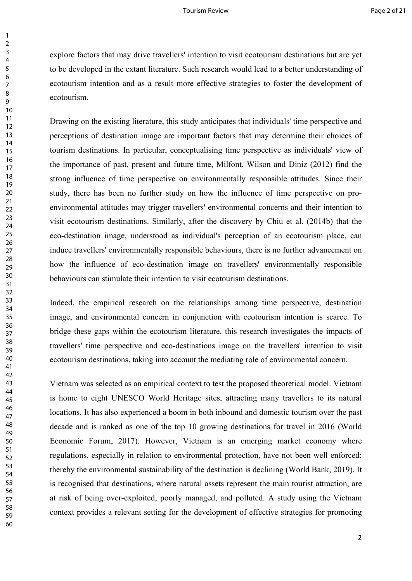explore factors that may drive travellers' intention to visit ecotourism destinations but are yet to be developed in the extant literature. Such research would lead to a better understanding of ecotourism intention and as a result more effective strategies to foster the development of ecotourism.

o further study on how the influence of<br>may trigger travellers' environmental conc<br>ions. Similarly, after the discovery by Cl<br>understood as individual's perception of<br>nmentally responsible behaviours, there is i<br>eco-destin Drawing on the existing literature, this study anticipates that individuals' time perspective and perceptions of destination image are important factors that may determine their choices of tourism destinations. In particular, conceptualising time perspective as individuals' view of the importance of past, present and future time, Milfont, Wilson and Diniz (2012) find the strong influence of time perspective on environmentally responsible attitudes. Since their study, there has been no further study on how the influence of time perspective on proenvironmental attitudes may trigger travellers' environmental concerns and their intention to visit ecotourism destinations. Similarly, after the discovery by Chiu et al. (2014b) that the eco-destination image, understood as individual's perception of an ecotourism place, can induce travellers' environmentally responsible behaviours, there is no further advancement on how the influence of eco-destination image on travellers' environmentally responsible behaviours can stimulate their intention to visit ecotourism destinations.

Indeed, the empirical research on the relationships among time perspective, destination image, and environmental concern in conjunction with ecotourism intention is scarce. To bridge these gaps within the ecotourism literature, this research investigates the impacts of travellers' time perspective and eco-destinations image on the travellers' intention to visit ecotourism destinations, taking into account the mediating role of environmental concern.

Vietnam was selected as an empirical context to test the proposed theoretical model. Vietnam is home to eight UNESCO World Heritage sites, attracting many travellers to its natural locations. It has also experienced a boom in both inbound and domestic tourism over the past decade and is ranked as one of the top 10 growing destinations for travel in 2016 (World Economic Forum, 2017). However, Vietnam is an emerging market economy where regulations, especially in relation to environmental protection, have not been well enforced; thereby the environmental sustainability of the destination is declining (World Bank, 2019). It is recognised that destinations, where natural assets represent the main tourist attraction, are at risk of being over-exploited, poorly managed, and polluted. A study using the Vietnam context provides a relevant setting for the development of effective strategies for promoting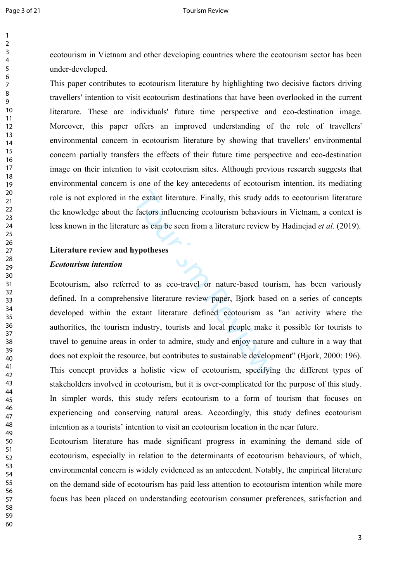$\mathbf{1}$  $\overline{2}$  $\overline{3}$  $\overline{4}$ 5 6

#### Page 3 of 21 Tourism Review

ecotourism in Vietnam and other developing countries where the ecotourism sector has been under-developed.

This paper contributes to ecotourism literature by highlighting two decisive factors driving travellers' intention to visit ecotourism destinations that have been overlooked in the current literature. These are individuals' future time perspective and eco-destination image. Moreover, this paper offers an improved understanding of the role of travellers' environmental concern in ecotourism literature by showing that travellers' environmental concern partially transfers the effects of their future time perspective and eco-destination image on their intention to visit ecotourism sites. Although previous research suggests that environmental concern is one of the key antecedents of ecotourism intention, its mediating role is not explored in the extant literature. Finally, this study adds to ecotourism literature the knowledge about the factors influencing ecotourism behaviours in Vietnam, a context is less known in the literature as can be seen from a literature review by Hadinejad *et al.* (2019).

# **Literature review and hypotheses** *Ecotourism intention*

the extant literature. Finally, this study adder factors influencing ecotourism behaviour<br>tre as can be seen from a literature review b<br>nypotheses<br>extant iterature review paper, Bjork base<br>extant literature review paper, B Ecotourism, also referred to as eco-travel or nature-based tourism, has been variously defined. In a comprehensive literature review paper, Bjork based on a series of concepts developed within the extant literature defined ecotourism as "an activity where the authorities, the tourism industry, tourists and local people make it possible for tourists to travel to genuine areas in order to admire, study and enjoy nature and culture in a way that does not exploit the resource, but contributes to sustainable development" (Bjork, 2000: 196). This concept provides a holistic view of ecotourism, specifying the different types of stakeholders involved in ecotourism, but it is over-complicated for the purpose of this study. In simpler words, this study refers ecotourism to a form of tourism that focuses on experiencing and conserving natural areas. Accordingly, this study defines ecotourism intention as a tourists' intention to visit an ecotourism location in the near future.

Ecotourism literature has made significant progress in examining the demand side of ecotourism, especially in relation to the determinants of ecotourism behaviours, of which, environmental concern is widely evidenced as an antecedent. Notably, the empirical literature on the demand side of ecotourism has paid less attention to ecotourism intention while more focus has been placed on understanding ecotourism consumer preferences, satisfaction and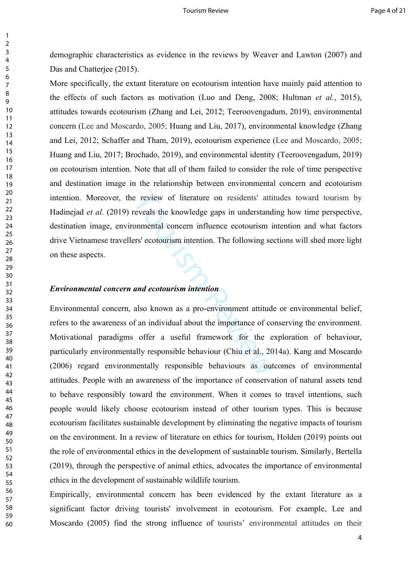demographic characteristics as evidence in the reviews by Weaver and Lawton (2007) and Das and Chatterjee (2015).

More specifically, the extant literature on ecotourism intention have mainly paid attention to the effects of such factors as motivation (Luo and Deng, 2008; Hultman *et al.*, 2015), attitudes towards ecotourism (Zhang and Lei, 2012; Teeroovengadum, 2019), environmental concern (Lee and Moscardo, 2005; Huang and Liu, 2017), environmental knowledge (Zhang and Lei, 2012; Schaffer and Tham, 2019), ecotourism experience (Lee and Moscardo, 2005; Huang and Liu, 2017; Brochado, 2019), and environmental identity (Teeroovengadum, 2019) on ecotourism intention. Note that all of them failed to consider the role of time perspective and destination image in the relationship between environmental concern and ecotourism intention. Moreover, the review of literature on residents' attitudes toward tourism by Hadinejad *et al.* (2019) reveals the knowledge gaps in understanding how time perspective, destination image, environmental concern influence ecotourism intention and what factors drive Vietnamese travellers' ecotourism intention. The following sections will shed more light on these aspects.

#### *Environmental concern and ecotourism intention*

e review of literature on residents' attiver<br>reveals the knowledge gaps in understand<br>onmental concern influence ecotourism i<br>res' ecotourism intention. The following se<br>and ecotourism intention<br>also known as a pro-environ Environmental concern, also known as a pro-environment attitude or environmental belief, refers to the awareness of an individual about the importance of conserving the environment. Motivational paradigms offer a useful framework for the exploration of behaviour, particularly environmentally responsible behaviour (Chiu et al., 2014a). Kang and Moscardo (2006) regard environmentally responsible behaviours as outcomes of environmental attitudes. People with an awareness of the importance of conservation of natural assets tend to behave responsibly toward the environment. When it comes to travel intentions, such people would likely choose ecotourism instead of other tourism types. This is because ecotourism facilitates sustainable development by eliminating the negative impacts of tourism on the environment. In a review of literature on ethics for tourism, Holden (2019) points out the role of environmental ethics in the development of sustainable tourism. Similarly, Bertella (2019), through the perspective of animal ethics, advocates the importance of environmental ethics in the development of sustainable wildlife tourism.

Empirically, environmental concern has been evidenced by the extant literature as a significant factor driving tourists' involvement in ecotourism. For example, Lee and Moscardo (2005) find the strong influence of tourists' environmental attitudes on their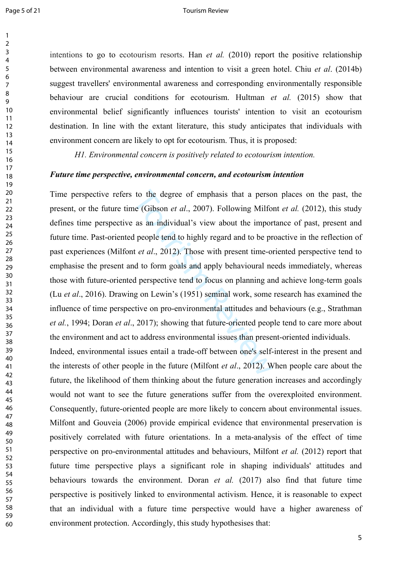$\mathbf{1}$  $\overline{2}$  $\overline{3}$ 

#### Page 5 of 21 Tourism Review

intentions to go to ecotourism resorts. Han *et al.* (2010) report the positive relationship between environmental awareness and intention to visit a green hotel. Chiu *et al*. (2014b) suggest travellers' environmental awareness and corresponding environmentally responsible behaviour are crucial conditions for ecotourism. Hultman *et al.* (2015) show that environmental belief significantly influences tourists' intention to visit an ecotourism destination. In line with the extant literature, this study anticipates that individuals with environment concern are likely to opt for ecotourism. Thus, it is proposed:

*H1. Environmental concern is positively related to ecotourism intention.*

#### *Future time perspective, environmental concern, and ecotourism intention*

to the degree of emphasis that a perso<br>ne (Gibson *et al.*, 2007). Following Milfo<br>as an individual's view about the impor<br>if people tend to highly regard and to be pr<br>if *et al.*, 2012). Those with present time-on<br>ad to Time perspective refers to the degree of emphasis that a person places on the past, the present, or the future time (Gibson *et al*., 2007). Following Milfont *et al.* (2012), this study defines time perspective as an individual's view about the importance of past, present and future time. Past-oriented people tend to highly regard and to be proactive in the reflection of past experiences (Milfont *et al*., 2012). Those with present time-oriented perspective tend to emphasise the present and to form goals and apply behavioural needs immediately, whereas those with future-oriented perspective tend to focus on planning and achieve long-term goals (Lu *et al*., 2016). Drawing on Lewin's (1951) seminal work, some research has examined the influence of time perspective on pro-environmental attitudes and behaviours (e.g., Strathman *et al.*, 1994; Doran *et al*., 2017); showing that future-oriented people tend to care more about the environment and act to address environmental issues than present-oriented individuals.

Indeed, environmental issues entail a trade-off between one's self-interest in the present and the interests of other people in the future (Milfont *et al*., 2012). When people care about the future, the likelihood of them thinking about the future generation increases and accordingly would not want to see the future generations suffer from the overexploited environment. Consequently, future-oriented people are more likely to concern about environmental issues. Milfont and Gouveia (2006) provide empirical evidence that environmental preservation is positively correlated with future orientations. In a meta-analysis of the effect of time perspective on pro-environmental attitudes and behaviours, Milfont *et al.* (2012) report that future time perspective plays a significant role in shaping individuals' attitudes and behaviours towards the environment. Doran *et al.* (2017) also find that future time perspective is positively linked to environmental activism. Hence, it is reasonable to expect that an individual with a future time perspective would have a higher awareness of environment protection. Accordingly, this study hypothesises that: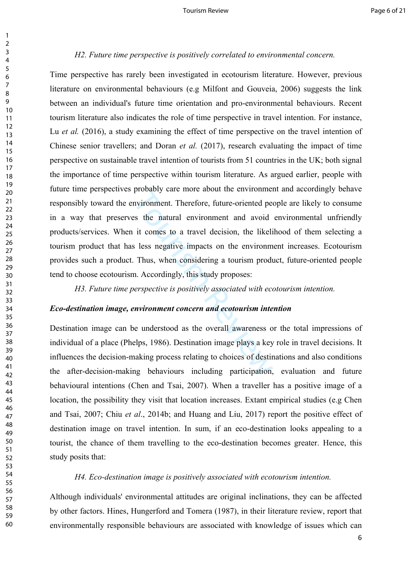#### *H2. Future time perspective is positively correlated to environmental concern.*

probably care inference about the environment<br>nvironment. Therefore, future-oriented peers the natural environment and avoid<br>it comes to a travel decision, the likeli<br>s less negative impacts on the environm<br>Thus, when cons Time perspective has rarely been investigated in ecotourism literature. However, previous literature on environmental behaviours (e.g Milfont and Gouveia, 2006) suggests the link between an individual's future time orientation and pro-environmental behaviours. Recent tourism literature also indicates the role of time perspective in travel intention. For instance, Lu *et al.* (2016), a study examining the effect of time perspective on the travel intention of Chinese senior travellers; and Doran *et al.* (2017), research evaluating the impact of time perspective on sustainable travel intention of tourists from 51 countries in the UK; both signal the importance of time perspective within tourism literature. As argued earlier, people with future time perspectives probably care more about the environment and accordingly behave responsibly toward the environment. Therefore, future-oriented people are likely to consume in a way that preserves the natural environment and avoid environmental unfriendly products/services. When it comes to a travel decision, the likelihood of them selecting a tourism product that has less negative impacts on the environment increases. Ecotourism provides such a product. Thus, when considering a tourism product, future-oriented people tend to choose ecotourism. Accordingly, this study proposes:

*H3. Future time perspective is positively associated with ecotourism intention.*

#### *Eco-destination image, environment concern and ecotourism intention*

Destination image can be understood as the overall awareness or the total impressions of individual of a place (Phelps, 1986). Destination image plays a key role in travel decisions. It influences the decision-making process relating to choices of destinations and also conditions the after-decision-making behaviours including participation, evaluation and future behavioural intentions (Chen and Tsai, 2007). When a traveller has a positive image of a location, the possibility they visit that location increases. Extant empirical studies (e.g Chen and Tsai, 2007; Chiu *et al*., 2014b; and Huang and Liu, 2017) report the positive effect of destination image on travel intention. In sum, if an eco-destination looks appealing to a tourist, the chance of them travelling to the eco-destination becomes greater. Hence, this study posits that:

#### *H4. Eco-destination image is positively associated with ecotourism intention.*

Although individuals' environmental attitudes are original inclinations, they can be affected by other factors. Hines, Hungerford and Tomera (1987), in their literature review, report that environmentally responsible behaviours are associated with knowledge of issues which can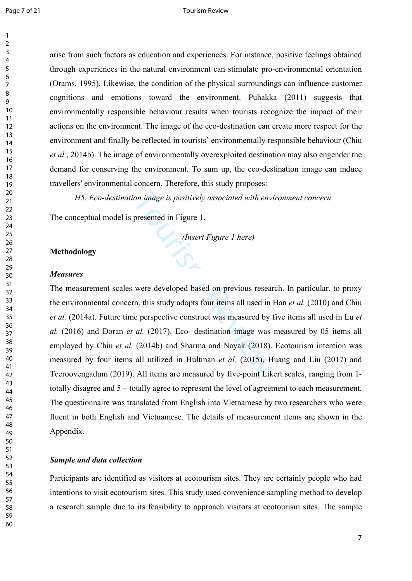$\mathbf{1}$ 

#### Page 7 of 21 Tourism Review

arise from such factors as education and experiences. For instance, positive feelings obtained through experiences in the natural environment can stimulate pro-environmental orientation (Orams, 1995). Likewise, the condition of the physical surroundings can influence customer cognitions and emotions toward the environment. Puhakka (2011) suggests that environmentally responsible behaviour results when tourists recognize the impact of their actions on the environment. The image of the eco-destination can create more respect for the environment and finally be reflected in tourists' environmentally responsible behaviour (Chiu *et al.*, 2014b). The image of environmentally overexploited destination may also engender the demand for conserving the environment. To sum up, the eco-destination image can induce travellers' environmental concern. Therefore, this study proposes:

*H5. Eco-destination image is positively associated with environment concern* 

The conceptual model is presented in Figure 1.

*(Insert Figure 1 here)*

# **Methodology**

#### *Measures*

Figure 1 is positively associated with environment<br>presented in Figure 1.<br>(Insert Figure 1 here)<br>were developed based on previous resear<br>rn, this study adopts four items all used in ine<br>perspective construct was measured The measurement scales were developed based on previous research. In particular, to proxy the environmental concern, this study adopts four items all used in Han *et al.* (2010) and Chiu *et al.* (2014a). Future time perspective construct was measured by five items all used in Lu *et al.* (2016) and Doran *et al.* (2017). Eco- destination image was measured by 05 items all employed by Chiu *et al.* (2014b) and Sharma and Nayak (2018). Ecotourism intention was measured by four items all utilized in Hultman *et al.* (2015), Huang and Liu (2017) and Teeroovengadum (2019). All items are measured by five-point Likert scales, ranging from 1 totally disagree and 5 – totally agree to represent the level of agreement to each measurement. The questionnaire was translated from English into Vietnamese by two researchers who were fluent in both English and Vietnamese. The details of measurement items are shown in the Appendix.

#### *Sample and data collection*

Participants are identified as visitors at ecotourism sites. They are certainly people who had intentions to visit ecotourism sites. This study used convenience sampling method to develop a research sample due to its feasibility to approach visitors at ecotourism sites. The sample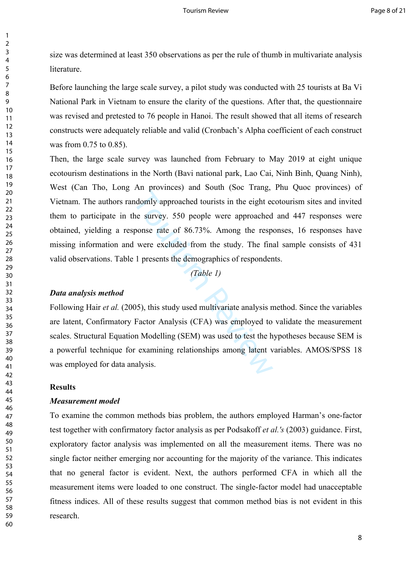size was determined at least 350 observations as per the rule of thumb in multivariate analysis literature.

Before launching the large scale survey, a pilot study was conducted with 25 tourists at Ba Vi National Park in Vietnam to ensure the clarity of the questions. After that, the questionnaire was revised and pretested to 76 people in Hanoi. The result showed that all items of research constructs were adequately reliable and valid (Cronbach's Alpha coefficient of each construct was from 0.75 to 0.85).

The provinces) and Bodan (Boc Trang, ndomly approached tourists in the eight eche survey. 550 people were approached pponse rate of 86.73%. Among the resp l were excluded from the study. The finite 1 presents the demograp Then, the large scale survey was launched from February to May 2019 at eight unique ecotourism destinations in the North (Bavi national park, Lao Cai, Ninh Binh, Quang Ninh), West (Can Tho, Long An provinces) and South (Soc Trang, Phu Quoc provinces) of Vietnam. The authors randomly approached tourists in the eight ecotourism sites and invited them to participate in the survey. 550 people were approached and 447 responses were obtained, yielding a response rate of 86.73%. Among the responses, 16 responses have missing information and were excluded from the study. The final sample consists of 431 valid observations. Table 1 presents the demographics of respondents.

*(Table 1)*

#### *Data analysis method*

Following Hair *et al.* (2005), this study used multivariate analysis method. Since the variables are latent, Confirmatory Factor Analysis (CFA) was employed to validate the measurement scales. Structural Equation Modelling (SEM) was used to test the hypotheses because SEM is a powerful technique for examining relationships among latent variables. AMOS/SPSS 18 was employed for data analysis.

#### **Results**

#### *Measurement model*

To examine the common methods bias problem, the authors employed Harman's one-factor test together with confirmatory factor analysis as per Podsakoff *et al.'s* (2003) guidance. First, exploratory factor analysis was implemented on all the measurement items. There was no single factor neither emerging nor accounting for the majority of the variance. This indicates that no general factor is evident. Next, the authors performed CFA in which all the measurement items were loaded to one construct. The single-factor model had unacceptable fitness indices. All of these results suggest that common method bias is not evident in this research.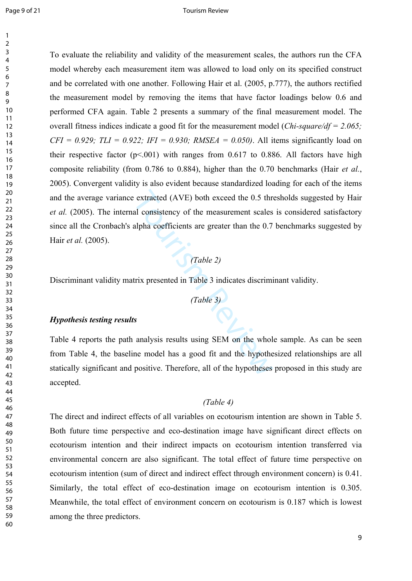$\mathbf{1}$ 

#### Page 9 of 21 Tourism Review

Extracted (AVE) both exceed the 0.5 thr<br>al consistency of the measurement scales<br>alpha coefficients are greater than the 0.7<br>(*Table 2*)<br>trix presented in Table 3 indicates discrimi<br>(*Table 3*)<br>fs<br>analysis results using SE To evaluate the reliability and validity of the measurement scales, the authors run the CFA model whereby each measurement item was allowed to load only on its specified construct and be correlated with one another. Following Hair et al. (2005, p.777), the authors rectified the measurement model by removing the items that have factor loadings below 0.6 and performed CFA again. Table 2 presents a summary of the final measurement model. The overall fitness indices indicate a good fit for the measurement model (*Chi-square/df = 2.065; CFI* = 0.929; *TLI* = 0.922; *IFI* = 0.930; *RMSEA* = 0.050). All items significantly load on their respective factor  $(p<.001)$  with ranges from 0.617 to 0.886. All factors have high composite reliability (from 0.786 to 0.884), higher than the 0.70 benchmarks (Hair *et al.*, 2005). Convergent validity is also evident because standardized loading for each of the items and the average variance extracted (AVE) both exceed the 0.5 thresholds suggested by Hair *et al.* (2005). The internal consistency of the measurement scales is considered satisfactory since all the Cronbach's alpha coefficients are greater than the 0.7 benchmarks suggested by Hair *et al.* (2005).

# *(Table 2)*

Discriminant validity matrix presented in Table 3 indicates discriminant validity.

# *(Table 3)*

#### *Hypothesis testing results*

Table 4 reports the path analysis results using SEM on the whole sample. As can be seen from Table 4, the baseline model has a good fit and the hypothesized relationships are all statically significant and positive. Therefore, all of the hypotheses proposed in this study are accepted.

#### *(Table 4)*

The direct and indirect effects of all variables on ecotourism intention are shown in Table 5. Both future time perspective and eco-destination image have significant direct effects on ecotourism intention and their indirect impacts on ecotourism intention transferred via environmental concern are also significant. The total effect of future time perspective on ecotourism intention (sum of direct and indirect effect through environment concern) is 0.41. Similarly, the total effect of eco-destination image on ecotourism intention is 0.305. Meanwhile, the total effect of environment concern on ecotourism is 0.187 which is lowest among the three predictors.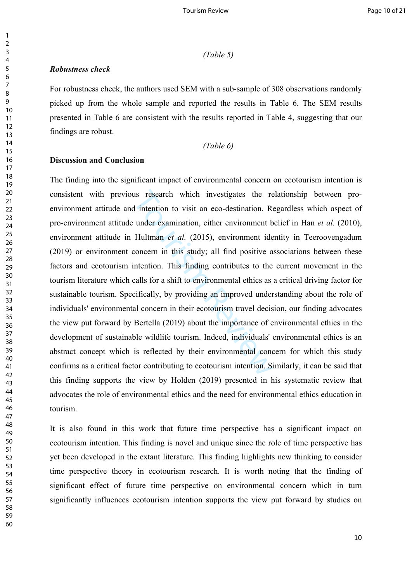#### *(Table 5)*

#### *Robustness check*

For robustness check, the authors used SEM with a sub-sample of 308 observations randomly picked up from the whole sample and reported the results in Table 6. The SEM results presented in Table 6 are consistent with the results reported in Table 4, suggesting that our findings are robust.

*(Table 6)*

#### **Discussion and Conclusion**

all intertion to visit an eco-destination. Revealing the red intention to visit an eco-destination. Reviewed the examination, either environment ide concern in this study; all find positive a intention. This finding contr The finding into the significant impact of environmental concern on ecotourism intention is consistent with previous research which investigates the relationship between proenvironment attitude and intention to visit an eco-destination. Regardless which aspect of pro-environment attitude under examination, either environment belief in Han *et al.* (2010), environment attitude in Hultman *et al.* (2015), environment identity in Teeroovengadum (2019) or environment concern in this study; all find positive associations between these factors and ecotourism intention. This finding contributes to the current movement in the tourism literature which calls for a shift to environmental ethics as a critical driving factor for sustainable tourism. Specifically, by providing an improved understanding about the role of individuals' environmental concern in their ecotourism travel decision, our finding advocates the view put forward by Bertella (2019) about the importance of environmental ethics in the development of sustainable wildlife tourism. Indeed, individuals' environmental ethics is an abstract concept which is reflected by their environmental concern for which this study confirms as a critical factor contributing to ecotourism intention. Similarly, it can be said that this finding supports the view by Holden (2019) presented in his systematic review that advocates the role of environmental ethics and the need for environmental ethics education in tourism.

It is also found in this work that future time perspective has a significant impact on ecotourism intention. This finding is novel and unique since the role of time perspective has yet been developed in the extant literature. This finding highlights new thinking to consider time perspective theory in ecotourism research. It is worth noting that the finding of significant effect of future time perspective on environmental concern which in turn significantly influences ecotourism intention supports the view put forward by studies on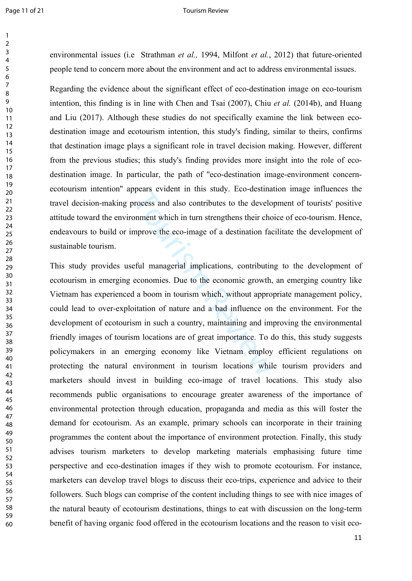$\mathbf{1}$ 

#### Page 11 of 21 Tourism Review

60

environmental issues (i.e Strathman *et al.,* 1994, Milfont *et al.*, 2012) that future-oriented people tend to concern more about the environment and act to address environmental issues.

Regarding the evidence about the significant effect of eco-destination image on eco-tourism intention, this finding is in line with Chen and Tsai (2007), Chiu *et al.* (2014b), and Huang and Liu (2017). Although these studies do not specifically examine the link between ecodestination image and ecotourism intention, this study's finding, similar to theirs, confirms that destination image plays a significant role in travel decision making. However, different from the previous studies; this study's finding provides more insight into the role of ecodestination image. In particular, the path of ''eco-destination image-environment concernecotourism intention'' appears evident in this study. Eco-destination image influences the travel decision-making process and also contributes to the development of tourists' positive attitude toward the environment which in turn strengthens their choice of eco-tourism. Hence, endeavours to build or improve the eco-image of a destination facilitate the development of sustainable tourism.

process and also contributes to the development which in turn strengthens their chomprove the eco-image of a destination factom<br>the eco-image of a destination factom-<br>fetul managerial implications, contributin<br>economies. D This study provides useful managerial implications, contributing to the development of ecotourism in emerging economies. Due to the economic growth, an emerging country like Vietnam has experienced a boom in tourism which, without appropriate management policy, could lead to over-exploitation of nature and a bad influence on the environment. For the development of ecotourism in such a country, maintaining and improving the environmental friendly images of tourism locations are of great importance. To do this, this study suggests policymakers in an emerging economy like Vietnam employ efficient regulations on protecting the natural environment in tourism locations while tourism providers and marketers should invest in building eco-image of travel locations. This study also recommends public organisations to encourage greater awareness of the importance of environmental protection through education, propaganda and media as this will foster the demand for ecotourism. As an example, primary schools can incorporate in their training programmes the content about the importance of environment protection. Finally, this study advises tourism marketers to develop marketing materials emphasising future time perspective and eco-destination images if they wish to promote ecotourism. For instance, marketers can develop travel blogs to discuss their eco-trips, experience and advice to their followers. Such blogs can comprise of the content including things to see with nice images of the natural beauty of ecotourism destinations, things to eat with discussion on the long-term benefit of having organic food offered in the ecotourism locations and the reason to visit eco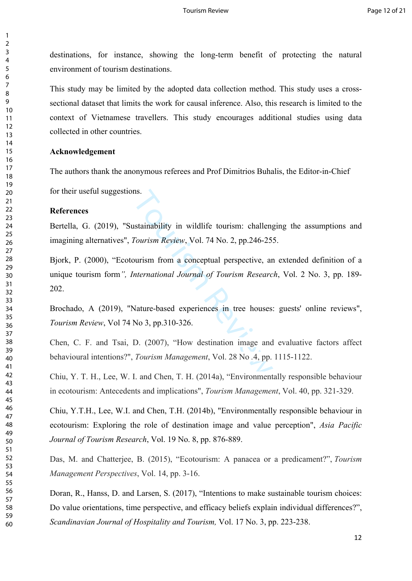destinations, for instance, showing the long-term benefit of protecting the natural environment of tourism destinations.

This study may be limited by the adopted data collection method. This study uses a crosssectional dataset that limits the work for causal inference. Also, this research is limited to the context of Vietnamese travellers. This study encourages additional studies using data collected in other countries.

#### **Acknowledgement**

The authors thank the anonymous referees and Prof Dimitrios Buhalis, the Editor-in-Chief

for their useful suggestions.

#### **References**

Bertella, G. (2019), "Sustainability in wildlife tourism: challenging the assumptions and imagining alternatives", *Tourism Review*, Vol. 74 No. 2, pp.246-255.

ns.<br>
Instainability in wildlife tourism: challeng<br> *Tourism Review*, Vol. 74 No. 2, pp.246-25.<br>
<br>
Durism from a conceptual perspective, are<br>
International Journal of Tourism Researc<br>
Nature-based experiences in tree houses Bjork, P. (2000), "Ecotourism from a conceptual perspective, an extended definition of a unique tourism form*", International Journal of Tourism Research*, Vol. 2 No. 3, pp. 189- 202.

Brochado, A (2019), "Nature-based experiences in tree houses: guests' online reviews", *Tourism Review*, Vol 74 No 3, pp.310-326.

Chen, C. F. and Tsai, D. (2007), "How destination image and evaluative factors affect behavioural intentions?", *Tourism Management*, Vol. 28 No *.*4, pp. 1115-1122.

Chiu, Y. T. H., Lee, W. I. and Chen, T. H. (2014a), "Environmentally responsible behaviour in ecotourism: Antecedents and implications", *Tourism Management*, Vol. 40, pp. 321-329.

Chiu, Y.T.H., Lee, W.I. and Chen, T.H. (2014b), "Environmentally responsible behaviour in ecotourism: Exploring the role of destination image and value perception", *Asia Pacific Journal of Tourism Research*, Vol. 19 No. 8, pp. 876-889.

Das, M. and Chatterjee, B. (2015), "Ecotourism: A panacea or a predicament?", *Tourism Management Perspectives*, Vol. 14, pp. 3-16.

Doran, R., Hanss, D. and Larsen, S. (2017), "Intentions to make sustainable tourism choices: Do value orientations, time perspective, and efficacy beliefs explain individual differences?", *Scandinavian Journal of Hospitality and Tourism,* Vol. 17 No. 3, pp. 223-238.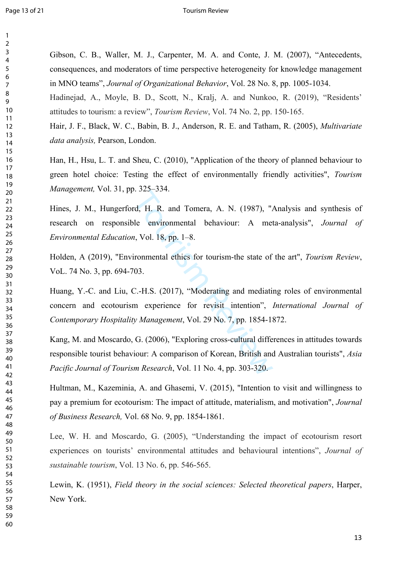$\mathbf{1}$  $\overline{2}$  $\overline{3}$ 

Gibson, C. B., Waller, M. J., Carpenter, M. A. and Conte, J. M. (2007), "Antecedents, consequences, and moderators of time perspective heterogeneity for knowledge management in MNO teams", *Journal of Organizational Behavior*, Vol. 28 No. 8, pp. 1005-1034.

Hadinejad, A., Moyle, B. D., Scott, N., Kralj, A. and Nunkoo, R. (2019), "Residents' attitudes to tourism: a review", *Tourism Review*, Vol. 74 No. 2, pp. 150-165.

Hair, J. F., Black, W. C., Babin, B. J., Anderson, R. E. and Tatham, R. (2005), *Multivariate data analysis,* Pearson, London.

Han, H., Hsu, L. T. and Sheu, C. (2010), "Application of the theory of planned behaviour to green hotel choice: Testing the effect of environmentally friendly activities", *Tourism Management,* Vol. 31, pp. 325–334.

on H. R. and Tomera, A. N. (1987), "2<br>
ole environmental behaviour: A met<br>
n, Vol. 18, pp. 1–8.<br>
ironmental ethics for tourism-the state of<br>
103.<br>
C.-H.S. (2017), "Moderating and mediatin<br>
m experience for revisit intenti Hines, J. M., Hungerford, H. R. and Tomera, A. N. (1987), "Analysis and synthesis of research on responsible environmental behaviour: A meta-analysis", *Journal of Environmental Education*, Vol. 18, pp. 1–8.

Holden, A (2019), "Environmental ethics for tourism-the state of the art", *Tourism Review*, VoL. 74 No. 3, pp. 694-703.

Huang, Y.-C. and Liu, C.-H.S. (2017), "Moderating and mediating roles of environmental concern and ecotourism experience for revisit intention", *International Journal of Contemporary Hospitality Management*, Vol. 29 No. 7, pp. 1854-1872.

Kang, M. and Moscardo, G. (2006), "Exploring cross-cultural differences in attitudes towards responsible tourist behaviour: A comparison of Korean, British and Australian tourists", *Asia Pacific Journal of Tourism Research*, Vol. 11 No. 4, pp. 303-320.

Hultman, M., Kazeminia, A. and Ghasemi, V. (2015), "Intention to visit and willingness to pay a premium for ecotourism: The impact of attitude, materialism, and motivation", *Journal of Business Research,* Vol. 68 No. 9, pp. 1854-1861.

Lee, W. H. and Moscardo, G. (2005), "Understanding the impact of ecotourism resort experiences on tourists' environmental attitudes and behavioural intentions", *Journal of sustainable tourism*, Vol. 13 No. 6, pp. 546-565.

Lewin, K. (1951), *Field theory in the social sciences: Selected theoretical papers*, Harper, New York.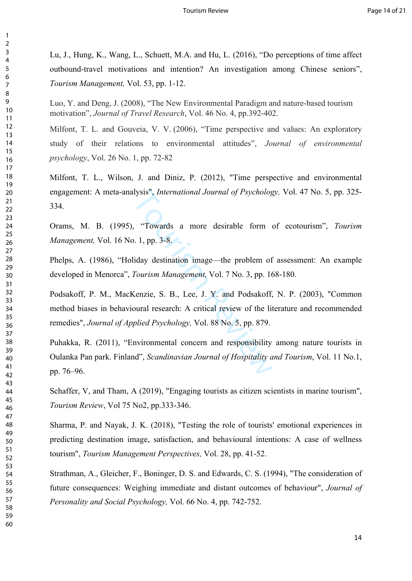Lu, J., Hung, K., Wang, L., Schuett, M.A. and Hu, L. (2016), "Do perceptions of time affect outbound-travel motivations and intention? An investigation among Chinese seniors", *Tourism Management,* Vol. 53, pp. 1-12.

Luo, Y. and Deng, J. (2008), "The New Environmental Paradigm and nature-based tourism motivation", *Journal of Travel Research*, Vol. 46 No. 4, pp.392-402.

Milfont, T. L. and Gouveia, V. V. (2006), "Time perspective and values: An exploratory study of their relations to environmental attitudes", *Journal of environmental psychology*, Vol. 26 No. 1, pp. 72-82

Milfont, T. L., Wilson, J. and Diniz, P. (2012), "Time perspective and environmental engagement: A meta-analysis", *International Journal of Psychology,* Vol. 47 No. 5, pp. 325- 334.

Orams, M. B. (1995), "Towards a more desirable form of ecotourism", *Tourism Management, Vol. 16 No. 1, pp. 3-8.* 

Phelps, A. (1986), "Holiday destination image—the problem of assessment: An example developed in Menorca", *Tourism Management,* Vol. 7 No. 3, pp. 168-180.

Podsakoff, P. M., MacKenzie, S. B., Lee, J. Y. and Podsakoff, N. P. (2003), "Common method biases in behavioural research: A critical review of the literature and recommended remedies", *Journal of Applied Psychology,* Vol. 88 No. 5, pp. 879.

Ilysis", *International Journal of Psycholog*,<br>
Towards a more desirable form on 1, pp. 3-8.<br>
Iday destination image—the problem of<br>
Tourism Management, Vol. 7 No. 3, pp. 16<br>
Xenzie, S. B., Lee, J. Y. and Podsakoff,<br>
oural Puhakka, R. (2011), "Environmental concern and responsibility among nature tourists in Oulanka Pan park. Finland", *Scandinavian Journal of Hospitality and Tourism*, Vol. 11 No.1, pp. 76–96.

Schaffer, V, and Tham, A (2019), "Engaging tourists as citizen scientists in marine tourism", *Tourism Review*, Vol 75 No2, pp.333-346.

Sharma, P. and Nayak, J. K. (2018), "Testing the role of tourists' emotional experiences in predicting destination image, satisfaction, and behavioural intentions: A case of wellness tourism", *Tourism Management Perspectives,* Vol. 28, pp. 41-52.

Strathman, A., Gleicher, F., Boninger, D. S. and Edwards, C. S. (1994), "The consideration of future consequences: Weighing immediate and distant outcomes of behaviour", *Journal of Personality and Social Psychology,* Vol. 66 No. 4, pp. 742-752.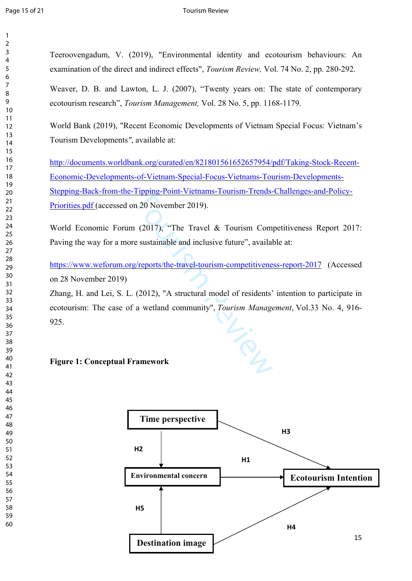$\mathbf{1}$ 

Teeroovengadum, V. (2019), "Environmental identity and ecotourism behaviours: An examination of the direct and indirect effects", *Tourism Review,* Vol. 74 No. 2, pp. 280-292.

Weaver, D. B. and Lawton, L. J. (2007), "Twenty years on: The state of contemporary ecotourism research", *Tourism Management,* Vol. 28 No. 5, pp. 1168-1179.

World Bank (2019), "Recent Economic Developments of Vietnam Special Focus: Vietnam's Tourism Developments *"*, available at:

[http://documents.worldbank.org/curated/en/821801561652657954/pdf/Taking-Stock-Recent-](http://documents.worldbank.org/curated/en/821801561652657954/pdf/Taking-Stock-Recent-Economic-Developments-of-Vietnam-Special-Focus-Vietnams-Tourism-Developments-Stepping-Back-from-the-Tipping-Point-Vietnams-Tourism-Trends-Challenges-and-Policy-Priorities.pdf)[Economic-Developments-of-Vietnam-Special-Focus-Vietnams-Tourism-Developments-](http://documents.worldbank.org/curated/en/821801561652657954/pdf/Taking-Stock-Recent-Economic-Developments-of-Vietnam-Special-Focus-Vietnams-Tourism-Developments-Stepping-Back-from-the-Tipping-Point-Vietnams-Tourism-Trends-Challenges-and-Policy-Priorities.pdf)[Stepping-Back-from-the-Tipping-Point-Vietnams-Tourism-Trends-Challenges-and-Policy-](http://documents.worldbank.org/curated/en/821801561652657954/pdf/Taking-Stock-Recent-Economic-Developments-of-Vietnam-Special-Focus-Vietnams-Tourism-Developments-Stepping-Back-from-the-Tipping-Point-Vietnams-Tourism-Trends-Challenges-and-Policy-Priorities.pdf)[Priorities.pdf](http://documents.worldbank.org/curated/en/821801561652657954/pdf/Taking-Stock-Recent-Economic-Developments-of-Vietnam-Special-Focus-Vietnams-Tourism-Developments-Stepping-Back-from-the-Tipping-Point-Vietnams-Tourism-Trends-Challenges-and-Policy-Priorities.pdf) (accessed on 20 November 2019).

World Economic Forum (2017), "The Travel & Tourism Competitiveness Report 2017: Paving the way for a more sustainable and inclusive future", available at:

https://www.weforum.org/reports/the-travel-tourism-competitiveness-report-2017 (Accessed on 28 November 2019)

Lieu Zhang, H. and Lei, S. L. (2012), "A structural model of residents' intention to participate in ecotourism: The case of a wetland community", *Tourism Management*, Vol.33 No. 4, 916- 925.

## **Figure 1: Conceptual Framework**

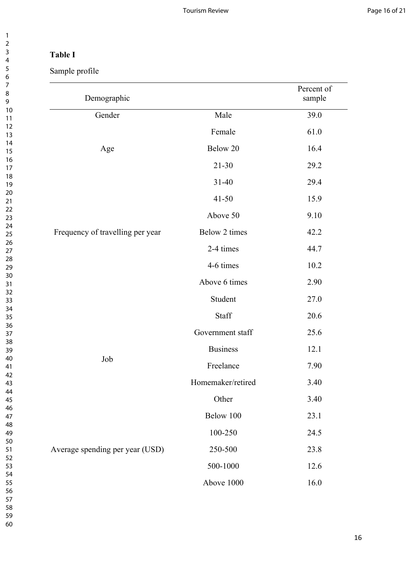# **Table I**

 $\overline{a}$ 

Sample profile

| Demographic                      |                   | Percent of<br>sample |
|----------------------------------|-------------------|----------------------|
| Gender                           | Male              | 39.0                 |
|                                  | Female            | 61.0                 |
| Age                              | Below 20          | 16.4                 |
|                                  | $21 - 30$         | 29.2                 |
|                                  | $31 - 40$         | 29.4                 |
|                                  | $41 - 50$         | 15.9                 |
|                                  | Above 50          | 9.10                 |
| Frequency of travelling per year | Below 2 times     | 42.2                 |
|                                  | 2-4 times         | 44.7                 |
|                                  | 4-6 times         | 10.2                 |
|                                  | Above 6 times     | 2.90                 |
|                                  | Student           | 27.0                 |
|                                  | Staff             | 20.6                 |
|                                  | Government staff  | 25.6                 |
|                                  | <b>Business</b>   | 12.1                 |
| Job                              | Freelance         | 7.90                 |
|                                  | Homemaker/retired | 3.40                 |
|                                  | Other             | 3.40                 |
|                                  | Below 100         | 23.1                 |
|                                  | 100-250           | 24.5                 |
| Average spending per year (USD)  | 250-500           | 23.8                 |
|                                  | 500-1000          | 12.6                 |
|                                  | Above 1000        | 16.0                 |

 $\mathbf{1}$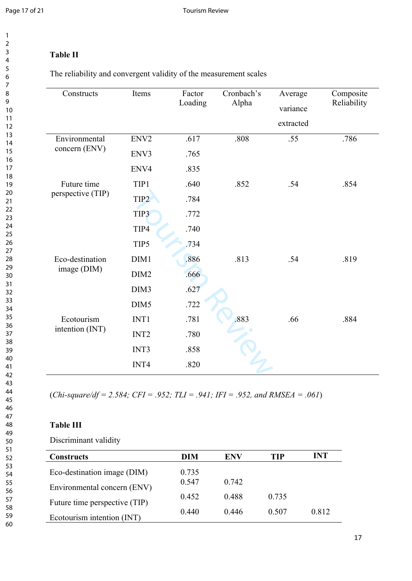$\mathbf{1}$  $\overline{2}$  $\overline{3}$ 

# **Table II**

The reliability and convergent validity of the measurement scales

| Constructs        | Items            | Factor<br>Loading | Cronbach's<br>Alpha | Average<br>variance<br>extracted | Composite<br>Reliability |
|-------------------|------------------|-------------------|---------------------|----------------------------------|--------------------------|
| Environmental     | ENV <sub>2</sub> | .617              | .808                | .55                              | .786                     |
| concern (ENV)     | ENV3             | .765              |                     |                                  |                          |
|                   | ENV4             | .835              |                     |                                  |                          |
| Future time       | TIP1             | .640              | .852                | .54                              | .854                     |
| perspective (TIP) | TIP2             | .784              |                     |                                  |                          |
|                   | TIP3             | .772              |                     |                                  |                          |
|                   | TIP4             | .740              |                     |                                  |                          |
|                   | TIP5             | .734              |                     |                                  |                          |
| Eco-destination   | DIM1             | .886              | .813                | .54                              | .819                     |
| image (DIM)       | DIM <sub>2</sub> | .666              |                     |                                  |                          |
|                   | DIM <sub>3</sub> | .627              |                     |                                  |                          |
|                   | DIM <sub>5</sub> | .722              |                     |                                  |                          |
| Ecotourism        | INT1             | .781              | .883                | .66                              | .884                     |
| intention (INT)   | INT <sub>2</sub> | .780              |                     |                                  |                          |
|                   | INT3             | .858              |                     |                                  |                          |
|                   | INT4             | .820              |                     |                                  |                          |

(*Chi-square/df = 2.584; CFI = .952; TLI = .941; IFI = .952, and RMSEA = .061* )

# **Table III**

Discriminant validity

| <b>Constructs</b>             | DIM   | ENV   | TIP   | INT   |
|-------------------------------|-------|-------|-------|-------|
| Eco-destination image (DIM)   | 0.735 |       |       |       |
| Environmental concern (ENV)   | 0.547 | 0.742 |       |       |
|                               | 0.452 | 0.488 | 0.735 |       |
| Future time perspective (TIP) | 0.440 | 0.446 | 0.507 | 0.812 |
| Ecotourism intention (INT)    |       |       |       |       |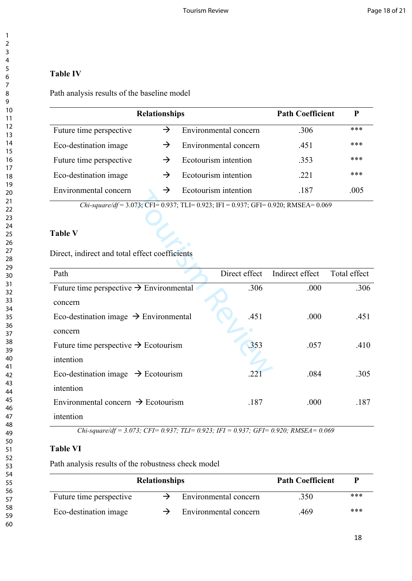## **Table IV**

Path analysis results of the baseline model

| <b>Relationships</b>    |  |                       | <b>Path Coefficient</b> |      |
|-------------------------|--|-----------------------|-------------------------|------|
| Future time perspective |  | Environmental concern | .306                    | ***  |
| Eco-destination image   |  | Environmental concern | .451                    | ***  |
| Future time perspective |  | Ecotourism intention  | .353                    | ***  |
| Eco-destination image   |  | Ecotourism intention  | .221                    | ***  |
| Environmental concern   |  | Ecotourism intention  | .187                    | .005 |

## **Table V**

| Environmental concern<br>⇁                                                           | Ecotourism intention | .18/            | .UUS         |
|--------------------------------------------------------------------------------------|----------------------|-----------------|--------------|
| Chi-square/df = 3.073; CFI= 0.937; TLI= 0.923; IFI = 0.937; GFI= 0.920; RMSEA= 0.069 |                      |                 |              |
|                                                                                      |                      |                 |              |
| <b>Table V</b>                                                                       |                      |                 |              |
| Direct, indirect and total effect coefficients                                       |                      |                 |              |
| Path                                                                                 | Direct effect        | Indirect effect | Total effect |
| Future time perspective $\rightarrow$ Environmental                                  | .306                 | .000            | .306         |
| concern                                                                              |                      |                 |              |
| Eco-destination image $\rightarrow$ Environmental                                    | .451                 | .000            | .451         |
| concern                                                                              |                      |                 |              |
| Future time perspective $\rightarrow$ Ecotourism                                     | 353                  | .057            | .410         |
| intention                                                                            |                      |                 |              |
| Eco-destination image $\rightarrow$ Ecotourism                                       | .221                 | .084            | .305         |
| intention                                                                            |                      |                 |              |
| Environmental concern $\rightarrow$ Ecotourism                                       | .187                 | .000            | .187         |
| intention                                                                            |                      |                 |              |

*Chi-square/df = 3.073; CFI= 0.937; TLI= 0.923; IFI = 0.937; GFI= 0.920; RMSEA= 0.069*

## **Table VI**

Path analysis results of the robustness check model

| <b>Relationships</b>    |  |                       | <b>Path Coefficient</b> |     |
|-------------------------|--|-----------------------|-------------------------|-----|
| Future time perspective |  | Environmental concern | .350                    | *** |
| Eco-destination image   |  | Environmental concern | .469                    | *** |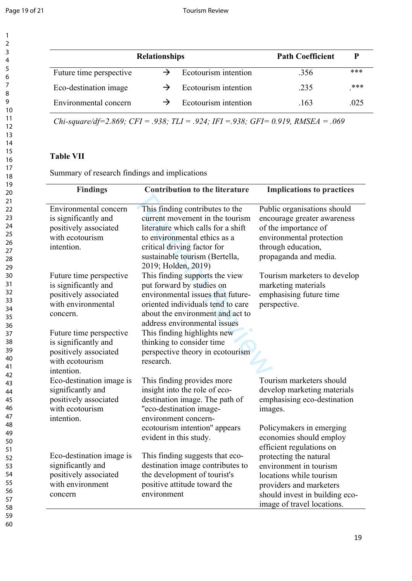$\mathbf{1}$  $\overline{2}$  $\overline{\mathbf{3}}$ 4 5 6  $\overline{7}$ 8

|                         | <b>Relationships</b> |                      | <b>Path Coefficient</b> |      |
|-------------------------|----------------------|----------------------|-------------------------|------|
| Future time perspective |                      | Ecotourism intention | .356                    | ***  |
| Eco-destination image   |                      | Ecotourism intention | .235                    | ***  |
| Environmental concern   |                      | Ecotourism intention | -163                    | -025 |

*Chi-square/df=2.869; CFI = .938; TLI = .924; IFI =.938; GFI= 0.919, RMSEA = .069*

### **Table VII**

Summary of research findings and implications

| <b>Findings</b>                                                                                            | <b>Contribution to the literature</b>                                                                                                                                                                                            | <b>Implications to practices</b>                                                                                                                              |
|------------------------------------------------------------------------------------------------------------|----------------------------------------------------------------------------------------------------------------------------------------------------------------------------------------------------------------------------------|---------------------------------------------------------------------------------------------------------------------------------------------------------------|
| Environmental concern<br>is significantly and<br>positively associated<br>with ecotourism<br>intention.    | This finding contributes to the<br>current movement in the tourism<br>literature which calls for a shift<br>to environmental ethics as a<br>critical driving factor for<br>sustainable tourism (Bertella,<br>2019; Holden, 2019) | Public organisations should<br>encourage greater awareness<br>of the importance of<br>environmental protection<br>through education,<br>propaganda and media. |
| Future time perspective<br>is significantly and<br>positively associated<br>with environmental<br>concern. | This finding supports the view<br>put forward by studies on<br>environmental issues that future-<br>oriented individuals tend to care<br>about the environment and act to<br>address environmental issues                        | Tourism marketers to develop<br>marketing materials<br>emphasising future time<br>perspective.                                                                |
| Future time perspective<br>is significantly and<br>positively associated<br>with ecotourism<br>intention.  | This finding highlights new<br>thinking to consider time<br>perspective theory in ecotourism<br>research.                                                                                                                        |                                                                                                                                                               |
| Eco-destination image is<br>significantly and<br>positively associated<br>with ecotourism<br>intention.    | This finding provides more<br>insight into the role of eco-<br>destination image. The path of<br>"eco-destination image-<br>environment concern-                                                                                 | Tourism marketers should<br>develop marketing materials<br>emphasising eco-destination<br>images.                                                             |
|                                                                                                            | ecotourism intention" appears<br>evident in this study.                                                                                                                                                                          | Policymakers in emerging<br>economies should employ<br>efficient regulations on                                                                               |
| Eco-destination image is<br>significantly and<br>positively associated<br>with environment<br>concern      | This finding suggests that eco-<br>destination image contributes to<br>the development of tourist's<br>positive attitude toward the<br>environment                                                                               | protecting the natural<br>environment in tourism<br>locations while tourism<br>providers and marketers<br>should invest in building eco-                      |
|                                                                                                            |                                                                                                                                                                                                                                  | image of travel locations.                                                                                                                                    |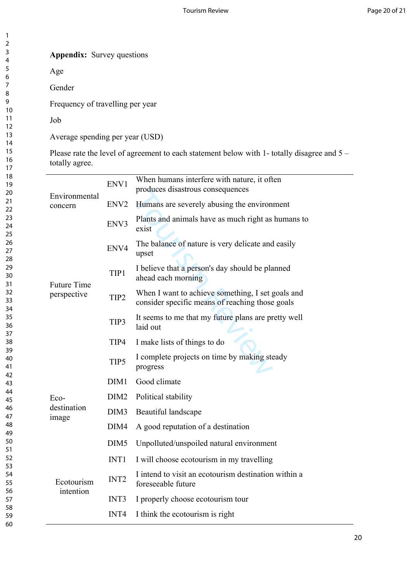**Appendix:** Survey questions

Age

Gender

Frequency of travelling per year

Job

Average spending per year (USD)

Please rate the level of agreement to each statement below with 1- totally disagree and 5 – totally agree.

|  | Environmental                | ENV1             | When humans interfere with nature, it often<br>produces disastrous consequences                      |
|--|------------------------------|------------------|------------------------------------------------------------------------------------------------------|
|  | concern                      | ENV <sub>2</sub> | Humans are severely abusing the environment                                                          |
|  |                              | ENV3             | Plants and animals have as much right as humans to<br>exist                                          |
|  |                              | ENV4             | The balance of nature is very delicate and easily<br>upset                                           |
|  | <b>Future Time</b>           | TIP1             | I believe that a person's day should be planned<br>ahead each morning                                |
|  | perspective                  | TIP <sub>2</sub> | When I want to achieve something, I set goals and<br>consider specific means of reaching those goals |
|  |                              | TIP3             | It seems to me that my future plans are pretty well<br>laid out                                      |
|  |                              | TIP4             | I make lists of things to do                                                                         |
|  | Eco-<br>destination<br>image | TIP5             | I complete projects on time by making steady<br>progress                                             |
|  |                              | DIM1             | Good climate                                                                                         |
|  |                              | DIM <sub>2</sub> | Political stability                                                                                  |
|  |                              | DIM <sub>3</sub> | Beautiful landscape                                                                                  |
|  |                              | DIM4             | A good reputation of a destination                                                                   |
|  |                              | DIM <sub>5</sub> | Unpolluted/unspoiled natural environment                                                             |
|  |                              | INT1             | I will choose ecotourism in my travelling                                                            |
|  | Ecotourism<br>intention      | INT <sub>2</sub> | I intend to visit an ecotourism destination within a<br>foreseeable future                           |
|  |                              | INT3             | I properly choose ecotourism tour                                                                    |
|  |                              | INT4             | I think the ecotourism is right                                                                      |
|  |                              |                  |                                                                                                      |